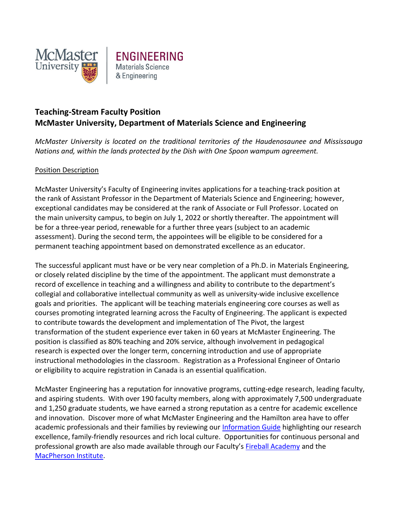



## **Teaching-Stream Faculty Position McMaster University, Department of Materials Science and Engineering**

*McMaster University is located on the traditional territories of the Haudenosaunee and Mississauga Nations and, within the lands protected by the Dish with One Spoon wampum agreement.*

## Position Description

McMaster University's Faculty of Engineering invites applications for a teaching-track position at the rank of Assistant Professor in the Department of Materials Science and Engineering; however, exceptional candidates may be considered at the rank of Associate or Full Professor. Located on the main university campus, to begin on July 1, 2022 or shortly thereafter. The appointment will be for a three-year period, renewable for a further three years (subject to an academic assessment). During the second term, the appointees will be eligible to be considered for a permanent teaching appointment based on demonstrated excellence as an educator.

The successful applicant must have or be very near completion of a Ph.D. in Materials Engineering, or closely related discipline by the time of the appointment. The applicant must demonstrate a record of excellence in teaching and a willingness and ability to contribute to the department's collegial and collaborative intellectual community as well as university-wide inclusive excellence goals and priorities. The applicant will be teaching materials engineering core courses as well as courses promoting integrated learning across the Faculty of Engineering. The applicant is expected to contribute towards the development and implementation of The Pivot, the largest transformation of the student experience ever taken in 60 years at McMaster Engineering. The position is classified as 80% teaching and 20% service, although involvement in pedagogical research is expected over the longer term, concerning introduction and use of appropriate instructional methodologies in the classroom. Registration as a Professional Engineer of Ontario or eligibility to acquire registration in Canada is an essential qualification.

McMaster Engineering has a reputation for innovative programs, cutting-edge research, leading faculty, and aspiring students. With over 190 faculty members, along with approximately 7,500 undergraduate and 1,250 graduate students, we have earned a strong reputation as a centre for academic excellence and innovation. Discover more of what McMaster Engineering and the Hamilton area have to offer academic professionals and their families by reviewing our [Information Guide](https://www.eng.mcmaster.ca/sites/default/files/uploads/faculty_recruitment_information_guide.pdf) highlighting our research excellence, family-friendly resources and rich local culture. Opportunities for continuous personal and professional growth are also made available through our Faculty's [Fireball Academy](https://www.eng.mcmaster.ca/resources/faculty-development-academy) and the [MacPherson Institute.](https://mi.mcmaster.ca/)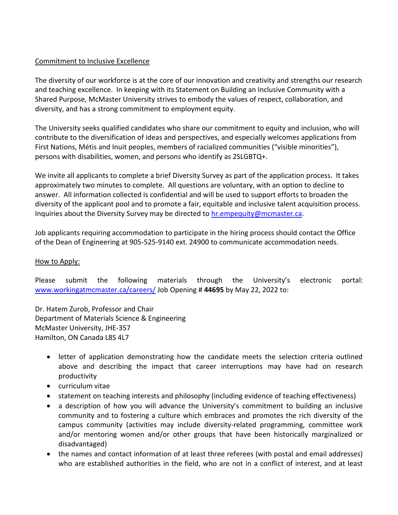## Commitment to Inclusive Excellence

The diversity of our workforce is at the core of our innovation and creativity and strengths our research and teaching excellence. In keeping with its Statement on Building an Inclusive Community with a Shared Purpose, McMaster University strives to embody the values of respect, collaboration, and diversity, and has a strong commitment to employment equity.

The University seeks qualified candidates who share our commitment to equity and inclusion, who will contribute to the diversification of ideas and perspectives, and especially welcomes applications from First Nations, Métis and Inuit peoples, members of racialized communities ("visible minorities"), persons with disabilities, women, and persons who identify as 2SLGBTQ+.

We invite all applicants to complete a brief Diversity Survey as part of the application process. It takes approximately two minutes to complete. All questions are voluntary, with an option to decline to answer. All information collected is confidential and will be used to support efforts to broaden the diversity of the applicant pool and to promote a fair, equitable and inclusive talent acquisition process. Inquiries about the Diversity Survey may be directed to [hr.empequity@mcmaster.ca.](mailto:hr.empequity@mcmaster.ca)

Job applicants requiring accommodation to participate in the hiring process should contact the Office of the Dean of Engineering at 905-525-9140 ext. 24900 to communicate accommodation needs.

## How to Apply:

Please submit the following materials through the University's electronic portal: [www.workingatmcmaster.ca/careers/](http://www.workingatmcmaster.ca/careers/) Job Opening # **44695** by May 22, 2022 to:

Dr. Hatem Zurob, Professor and Chair Department of Materials Science & Engineering McMaster University, JHE-357 Hamilton, ON Canada L8S 4L7

- letter of application demonstrating how the candidate meets the selection criteria outlined above and describing the impact that career interruptions may have had on research productivity
- curriculum vitae
- statement on teaching interests and philosophy (including evidence of teaching effectiveness)
- a description of how you will advance the University's commitment to building an inclusive community and to fostering a culture which embraces and promotes the rich diversity of the campus community (activities may include diversity-related programming, committee work and/or mentoring women and/or other groups that have been historically marginalized or disadvantaged)
- the names and contact information of at least three referees (with postal and email addresses) who are established authorities in the field, who are not in a conflict of interest, and at least